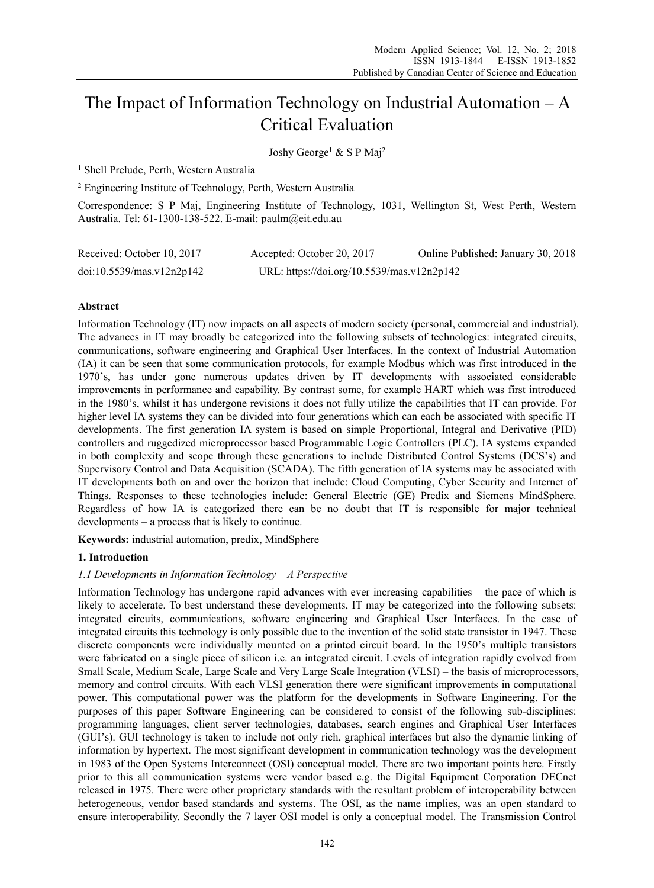# The Impact of Information Technology on Industrial Automation – A Critical Evaluation

Joshy George<sup>1</sup> & S P Maj<sup>2</sup>

<sup>1</sup> Shell Prelude, Perth, Western Australia

<sup>2</sup> Engineering Institute of Technology, Perth, Western Australia

Correspondence: S P Maj, Engineering Institute of Technology, 1031, Wellington St, West Perth, Western Australia. Tel: 61-1300-138-522. E-mail: paulm@eit.edu.au

| Received: October 10, 2017 | Accepted: October 20, 2017                 | Online Published: January 30, 2018 |
|----------------------------|--------------------------------------------|------------------------------------|
| doi:10.5539/mas.v12n2p142  | URL: https://doi.org/10.5539/mas.v12n2p142 |                                    |

# **Abstract**

Information Technology (IT) now impacts on all aspects of modern society (personal, commercial and industrial). The advances in IT may broadly be categorized into the following subsets of technologies: integrated circuits, communications, software engineering and Graphical User Interfaces. In the context of Industrial Automation (IA) it can be seen that some communication protocols, for example Modbus which was first introduced in the 1970's, has under gone numerous updates driven by IT developments with associated considerable improvements in performance and capability. By contrast some, for example HART which was first introduced in the 1980's, whilst it has undergone revisions it does not fully utilize the capabilities that IT can provide. For higher level IA systems they can be divided into four generations which can each be associated with specific IT developments. The first generation IA system is based on simple Proportional, Integral and Derivative (PID) controllers and ruggedized microprocessor based Programmable Logic Controllers (PLC). IA systems expanded in both complexity and scope through these generations to include Distributed Control Systems (DCS's) and Supervisory Control and Data Acquisition (SCADA). The fifth generation of IA systems may be associated with IT developments both on and over the horizon that include: Cloud Computing, Cyber Security and Internet of Things. Responses to these technologies include: General Electric (GE) Predix and Siemens MindSphere. Regardless of how IA is categorized there can be no doubt that IT is responsible for major technical developments – a process that is likely to continue.

**Keywords:** industrial automation, predix, MindSphere

## **1. Introduction**

# *1.1 Developments in Information Technology – A Perspective*

Information Technology has undergone rapid advances with ever increasing capabilities – the pace of which is likely to accelerate. To best understand these developments, IT may be categorized into the following subsets: integrated circuits, communications, software engineering and Graphical User Interfaces. In the case of integrated circuits this technology is only possible due to the invention of the solid state transistor in 1947. These discrete components were individually mounted on a printed circuit board. In the 1950's multiple transistors were fabricated on a single piece of silicon i.e. an integrated circuit. Levels of integration rapidly evolved from Small Scale, Medium Scale, Large Scale and Very Large Scale Integration (VLSI) – the basis of microprocessors, memory and control circuits. With each VLSI generation there were significant improvements in computational power. This computational power was the platform for the developments in Software Engineering. For the purposes of this paper Software Engineering can be considered to consist of the following sub-disciplines: programming languages, client server technologies, databases, search engines and Graphical User Interfaces (GUI's). GUI technology is taken to include not only rich, graphical interfaces but also the dynamic linking of information by hypertext. The most significant development in communication technology was the development in 1983 of the Open Systems Interconnect (OSI) conceptual model. There are two important points here. Firstly prior to this all communication systems were vendor based e.g. the Digital Equipment Corporation DECnet released in 1975. There were other proprietary standards with the resultant problem of interoperability between heterogeneous, vendor based standards and systems. The OSI, as the name implies, was an open standard to ensure interoperability. Secondly the 7 layer OSI model is only a conceptual model. The Transmission Control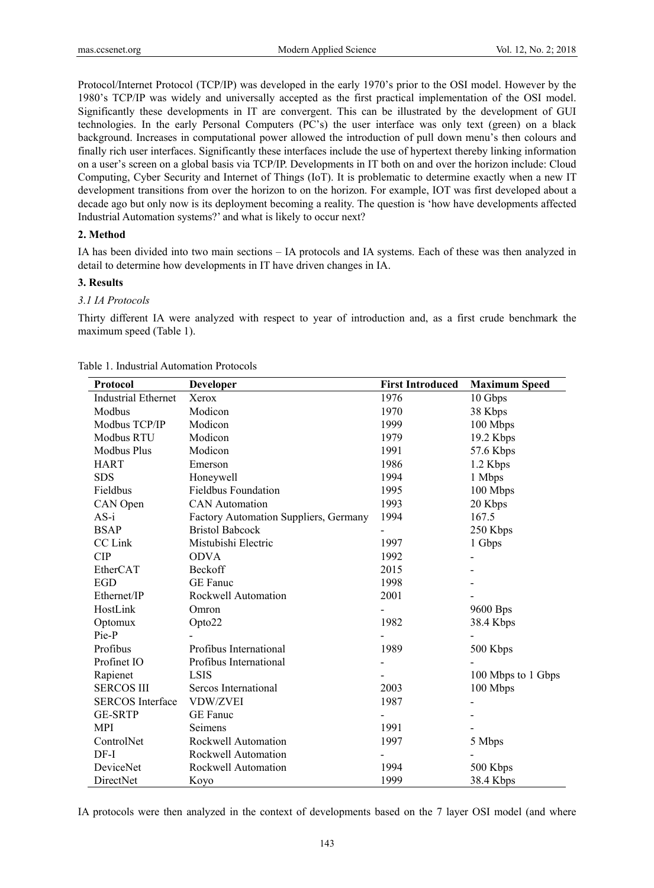Protocol/Internet Protocol (TCP/IP) was developed in the early 1970's prior to the OSI model. However by the 1980's TCP/IP was widely and universally accepted as the first practical implementation of the OSI model. Significantly these developments in IT are convergent. This can be illustrated by the development of GUI technologies. In the early Personal Computers (PC's) the user interface was only text (green) on a black background. Increases in computational power allowed the introduction of pull down menu's then colours and finally rich user interfaces. Significantly these interfaces include the use of hypertext thereby linking information on a user's screen on a global basis via TCP/IP. Developments in IT both on and over the horizon include: Cloud Computing, Cyber Security and Internet of Things (IoT). It is problematic to determine exactly when a new IT development transitions from over the horizon to on the horizon. For example, IOT was first developed about a decade ago but only now is its deployment becoming a reality. The question is 'how have developments affected Industrial Automation systems?' and what is likely to occur next?

## **2. Method**

IA has been divided into two main sections – IA protocols and IA systems. Each of these was then analyzed in detail to determine how developments in IT have driven changes in IA.

#### **3. Results**

#### *3.1 IA Protocols*

Thirty different IA were analyzed with respect to year of introduction and, as a first crude benchmark the maximum speed (Table 1).

| Protocol                   | <b>Developer</b>                      | <b>First Introduced</b>  | <b>Maximum Speed</b> |
|----------------------------|---------------------------------------|--------------------------|----------------------|
| <b>Industrial Ethernet</b> | Xerox                                 | 1976                     | 10 Gbps              |
| Modbus                     | Modicon                               | 1970                     | 38 Kbps              |
| Modbus TCP/IP              | Modicon                               | 1999                     | 100 Mbps             |
| Modbus RTU                 | Modicon                               | 1979                     | 19.2 Kbps            |
| Modbus Plus                | Modicon                               | 1991                     | 57.6 Kbps            |
| <b>HART</b>                | Emerson                               | 1986                     | 1.2 Kbps             |
| <b>SDS</b>                 | Honeywell                             | 1994                     | 1 Mbps               |
| Fieldbus                   | <b>Fieldbus Foundation</b>            | 1995                     | 100 Mbps             |
| CAN Open                   | <b>CAN</b> Automation                 | 1993                     | 20 Kbps              |
| $AS-i$                     | Factory Automation Suppliers, Germany | 1994                     | 167.5                |
| <b>BSAP</b>                | <b>Bristol Babcock</b>                |                          | 250 Kbps             |
| CC Link                    | Mistubishi Electric                   | 1997                     | 1 Gbps               |
| <b>CIP</b>                 | <b>ODVA</b>                           | 1992                     |                      |
| EtherCAT                   | <b>Beckoff</b>                        | 2015                     |                      |
| EGD                        | <b>GE</b> Fanuc                       | 1998                     |                      |
| Ethernet/IP                | Rockwell Automation                   | 2001                     |                      |
| HostLink                   | Omron                                 |                          | 9600 Bps             |
| Optomux                    | Opto22                                | 1982                     | 38.4 Kbps            |
| Pie-P                      |                                       |                          |                      |
| Profibus                   | Profibus International                | 1989                     | 500 Kbps             |
| Profinet IO                | Profibus International                |                          |                      |
| Rapienet                   | <b>LSIS</b>                           |                          | 100 Mbps to 1 Gbps   |
| <b>SERCOS III</b>          | Sercos International                  | 2003                     | 100 Mbps             |
| <b>SERCOS</b> Interface    | <b>VDW/ZVEI</b>                       | 1987                     |                      |
| <b>GE-SRTP</b>             | <b>GE</b> Fanuc                       | $\overline{\phantom{0}}$ |                      |
| <b>MPI</b>                 | Seimens                               | 1991                     |                      |
| ControlNet                 | Rockwell Automation                   | 1997                     | 5 Mbps               |
| $DF-I$                     | Rockwell Automation                   |                          |                      |
| DeviceNet                  | Rockwell Automation                   | 1994                     | 500 Kbps             |
| DirectNet                  | Koyo                                  | 1999                     | 38.4 Kbps            |

Table 1. Industrial Automation Protocols

IA protocols were then analyzed in the context of developments based on the 7 layer OSI model (and where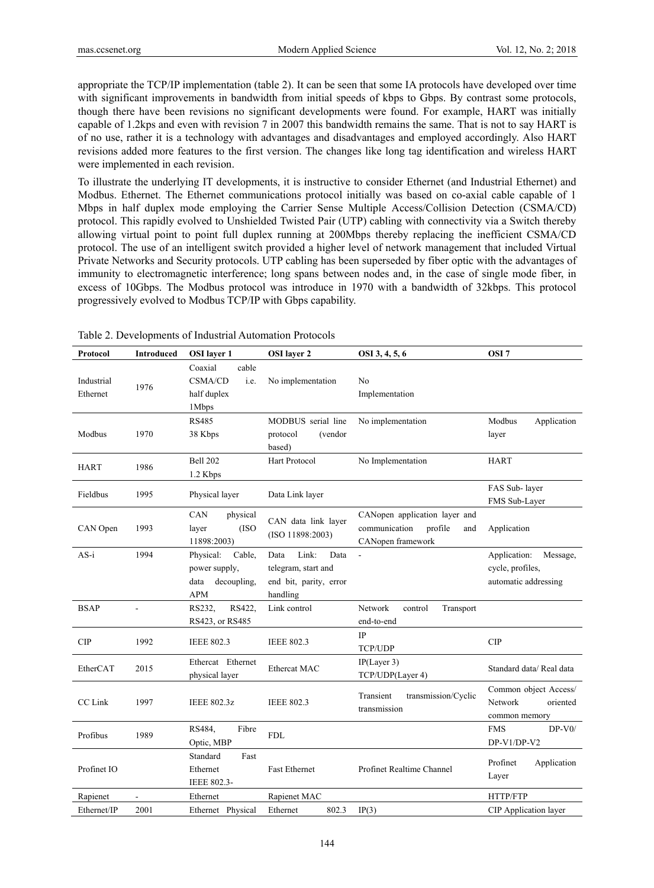appropriate the TCP/IP implementation (table 2). It can be seen that some IA protocols have developed over time with significant improvements in bandwidth from initial speeds of kbps to Gbps. By contrast some protocols, though there have been revisions no significant developments were found. For example, HART was initially capable of 1.2kps and even with revision 7 in 2007 this bandwidth remains the same. That is not to say HART is of no use, rather it is a technology with advantages and disadvantages and employed accordingly. Also HART revisions added more features to the first version. The changes like long tag identification and wireless HART were implemented in each revision.

To illustrate the underlying IT developments, it is instructive to consider Ethernet (and Industrial Ethernet) and Modbus. Ethernet. The Ethernet communications protocol initially was based on co-axial cable capable of 1 Mbps in half duplex mode employing the Carrier Sense Multiple Access/Collision Detection (CSMA/CD) protocol. This rapidly evolved to Unshielded Twisted Pair (UTP) cabling with connectivity via a Switch thereby allowing virtual point to point full duplex running at 200Mbps thereby replacing the inefficient CSMA/CD protocol. The use of an intelligent switch provided a higher level of network management that included Virtual Private Networks and Security protocols. UTP cabling has been superseded by fiber optic with the advantages of immunity to electromagnetic interference; long spans between nodes and, in the case of single mode fiber, in excess of 10Gbps. The Modbus protocol was introduce in 1970 with a bandwidth of 32kbps. This protocol progressively evolved to Modbus TCP/IP with Gbps capability.

| Protocol               | <b>Introduced</b> | OSI layer 1                                                        | <b>OSI</b> layer 2                                                                 | OSI 3, 4, 5, 6                                                                        | OSI <sub>7</sub>                                                     |
|------------------------|-------------------|--------------------------------------------------------------------|------------------------------------------------------------------------------------|---------------------------------------------------------------------------------------|----------------------------------------------------------------------|
| Industrial<br>Ethernet | 1976              | Coaxial<br>cable<br>CSMA/CD<br>i.e.<br>half duplex<br>1Mbps        | No implementation                                                                  | N <sub>0</sub><br>Implementation                                                      |                                                                      |
| Modbus                 | 1970              | <b>RS485</b><br>38 Kbps                                            | MODBUS serial line<br>protocol<br>(vendor<br>based)                                | No implementation                                                                     | Modbus<br>Application<br>layer                                       |
| <b>HART</b>            | 1986              | <b>Bell 202</b><br>1.2 Kbps                                        | Hart Protocol                                                                      | No Implementation                                                                     | <b>HART</b>                                                          |
| Fieldbus               | 1995              | Physical layer                                                     | Data Link layer                                                                    |                                                                                       | FAS Sub-layer<br>FMS Sub-Layer                                       |
| CAN Open               | 1993              | CAN<br>physical<br>(ISO)<br>layer<br>11898:2003)                   | CAN data link layer<br>(ISO 11898:2003)                                            | CANopen application layer and<br>communication<br>profile<br>and<br>CANopen framework | Application                                                          |
| $AS-i$                 | 1994              | Cable,<br>Physical:<br>power supply,<br>data<br>decoupling,<br>APM | Link:<br>Data<br>Data<br>telegram, start and<br>end bit, parity, error<br>handling |                                                                                       | Application:<br>Message,<br>cycle, profiles,<br>automatic addressing |
| <b>BSAP</b>            | $\sim$            | RS422,<br>RS232,<br>RS423, or RS485                                | Link control                                                                       | Network<br>control<br>Transport<br>end-to-end                                         |                                                                      |
| CIP                    | 1992              | <b>IEEE 802.3</b>                                                  | <b>IEEE 802.3</b>                                                                  | IP<br>TCP/UDP                                                                         | <b>CIP</b>                                                           |
| EtherCAT               | 2015              | Ethercat Ethernet<br>physical layer                                | Ethercat MAC                                                                       | IP(Layer 3)<br>TCP/UDP(Layer 4)                                                       | Standard data/Real data                                              |
| CC Link                | 1997              | <b>IEEE 802.3z</b>                                                 | <b>IEEE 802.3</b>                                                                  | Transient<br>transmission/Cyclic<br>transmission                                      | Common object Access/<br>Network<br>oriented<br>common memory        |
| Profibus               | 1989              | Fibre<br>RS484,<br>Optic, MBP                                      | <b>FDL</b>                                                                         |                                                                                       | $DP-V0/$<br><b>FMS</b><br>DP-V1/DP-V2                                |
| Profinet IO            |                   | Standard<br>Fast<br>Ethernet<br>IEEE 802.3-                        | <b>Fast Ethernet</b>                                                               | Profinet Realtime Channel                                                             | Profinet<br>Application<br>Layer                                     |
| Rapienet               |                   | Ethernet                                                           | Rapienet MAC                                                                       |                                                                                       | HTTP/FTP                                                             |
| Ethernet/IP            | 2001              | Ethernet Physical                                                  | 802.3<br>Ethernet                                                                  | IP(3)                                                                                 | CIP Application layer                                                |

| Table 2. Developments of Industrial Automation Protocols |  |  |  |  |
|----------------------------------------------------------|--|--|--|--|
|----------------------------------------------------------|--|--|--|--|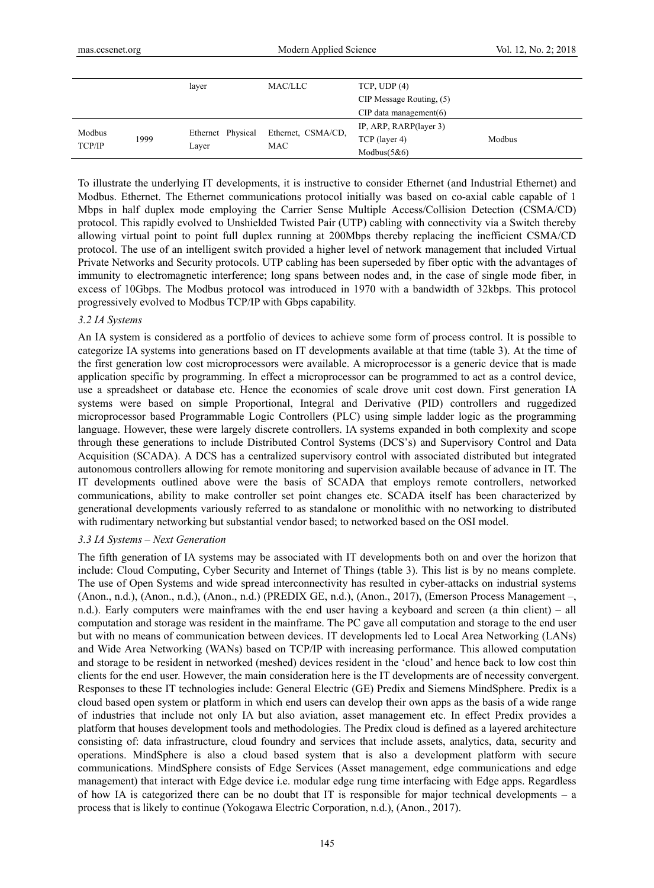|                          | layer             | MAC/LLC                   | TCP, UDP $(4)$              |        |
|--------------------------|-------------------|---------------------------|-----------------------------|--------|
|                          |                   |                           | CIP Message Routing, (5)    |        |
|                          |                   |                           | $CIP$ data management $(6)$ |        |
|                          |                   |                           | IP, ARP, RARP(layer 3)      |        |
| Modbus<br>1999<br>TCP/IP | Ethernet Physical | Ethernet, CSMA/CD,<br>MAC | TCP (layer 4)               | Modbus |
|                          | Layer             |                           | Modbus $(5&6)$              |        |

To illustrate the underlying IT developments, it is instructive to consider Ethernet (and Industrial Ethernet) and Modbus. Ethernet. The Ethernet communications protocol initially was based on co-axial cable capable of 1 Mbps in half duplex mode employing the Carrier Sense Multiple Access/Collision Detection (CSMA/CD) protocol. This rapidly evolved to Unshielded Twisted Pair (UTP) cabling with connectivity via a Switch thereby allowing virtual point to point full duplex running at 200Mbps thereby replacing the inefficient CSMA/CD protocol. The use of an intelligent switch provided a higher level of network management that included Virtual Private Networks and Security protocols. UTP cabling has been superseded by fiber optic with the advantages of immunity to electromagnetic interference; long spans between nodes and, in the case of single mode fiber, in excess of 10Gbps. The Modbus protocol was introduced in 1970 with a bandwidth of 32kbps. This protocol progressively evolved to Modbus TCP/IP with Gbps capability.

#### *3.2 IA Systems*

An IA system is considered as a portfolio of devices to achieve some form of process control. It is possible to categorize IA systems into generations based on IT developments available at that time (table 3). At the time of the first generation low cost microprocessors were available. A microprocessor is a generic device that is made application specific by programming. In effect a microprocessor can be programmed to act as a control device, use a spreadsheet or database etc. Hence the economies of scale drove unit cost down. First generation IA systems were based on simple Proportional, Integral and Derivative (PID) controllers and ruggedized microprocessor based Programmable Logic Controllers (PLC) using simple ladder logic as the programming language. However, these were largely discrete controllers. IA systems expanded in both complexity and scope through these generations to include Distributed Control Systems (DCS's) and Supervisory Control and Data Acquisition (SCADA). A DCS has a centralized supervisory control with associated distributed but integrated autonomous controllers allowing for remote monitoring and supervision available because of advance in IT. The IT developments outlined above were the basis of SCADA that employs remote controllers, networked communications, ability to make controller set point changes etc. SCADA itself has been characterized by generational developments variously referred to as standalone or monolithic with no networking to distributed with rudimentary networking but substantial vendor based; to networked based on the OSI model.

## *3.3 IA Systems – Next Generation*

The fifth generation of IA systems may be associated with IT developments both on and over the horizon that include: Cloud Computing, Cyber Security and Internet of Things (table 3). This list is by no means complete. The use of Open Systems and wide spread interconnectivity has resulted in cyber-attacks on industrial systems (Anon., n.d.), (Anon., n.d.), (Anon., n.d.) (PREDIX GE, n.d.), (Anon., 2017), (Emerson Process Management –, n.d.). Early computers were mainframes with the end user having a keyboard and screen (a thin client) – all computation and storage was resident in the mainframe. The PC gave all computation and storage to the end user but with no means of communication between devices. IT developments led to Local Area Networking (LANs) and Wide Area Networking (WANs) based on TCP/IP with increasing performance. This allowed computation and storage to be resident in networked (meshed) devices resident in the 'cloud' and hence back to low cost thin clients for the end user. However, the main consideration here is the IT developments are of necessity convergent. Responses to these IT technologies include: General Electric (GE) Predix and Siemens MindSphere. Predix is a cloud based open system or platform in which end users can develop their own apps as the basis of a wide range of industries that include not only IA but also aviation, asset management etc. In effect Predix provides a platform that houses development tools and methodologies. The Predix cloud is defined as a layered architecture consisting of: data infrastructure, cloud foundry and services that include assets, analytics, data, security and operations. MindSphere is also a cloud based system that is also a development platform with secure communications. MindSphere consists of Edge Services (Asset management, edge communications and edge management) that interact with Edge device i.e. modular edge rung time interfacing with Edge apps. Regardless of how IA is categorized there can be no doubt that IT is responsible for major technical developments – a process that is likely to continue (Yokogawa Electric Corporation, n.d.), (Anon., 2017).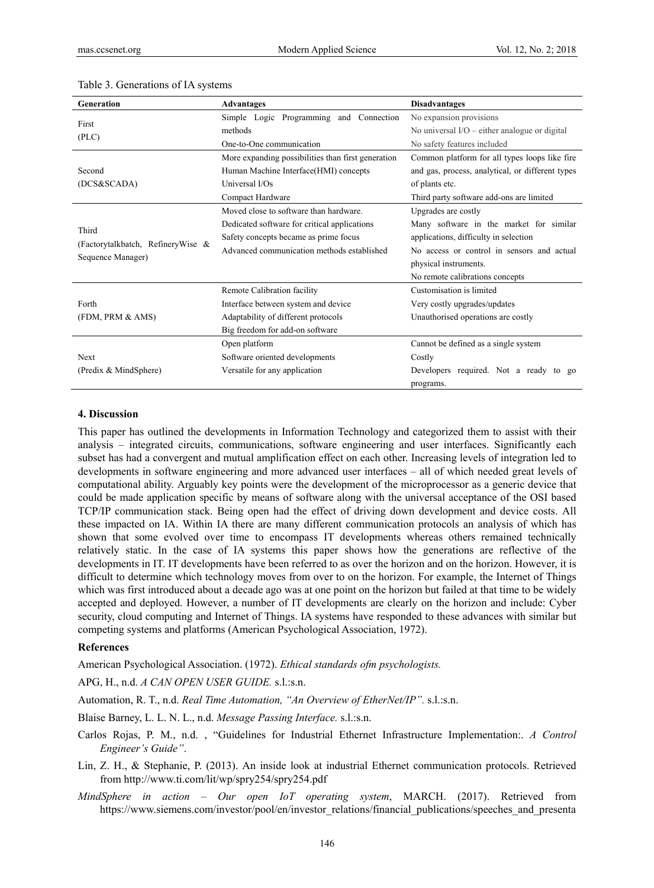| <b>Generation</b>                                      | <b>Advantages</b>                                  | <b>Disadvantages</b>                             |  |
|--------------------------------------------------------|----------------------------------------------------|--------------------------------------------------|--|
| First                                                  | Simple Logic Programming and Connection            | No expansion provisions                          |  |
| (PLC)                                                  | methods                                            | No universal I/O - either analogue or digital    |  |
|                                                        | One-to-One communication                           | No safety features included                      |  |
|                                                        | More expanding possibilities than first generation | Common platform for all types loops like fire    |  |
| Second                                                 | Human Machine Interface(HMI) concepts              | and gas, process, analytical, or different types |  |
| (DCS&SCADA)                                            | Universal I/Os                                     | of plants etc.                                   |  |
|                                                        | Compact Hardware                                   | Third party software add-ons are limited         |  |
|                                                        | Moved close to software than hardware.             | Upgrades are costly                              |  |
| Third                                                  | Dedicated software for critical applications       | Many software in the market for similar          |  |
| (Factorytalkbatch, RefineryWise &<br>Sequence Manager) | Safety concepts became as prime focus              | applications, difficulty in selection            |  |
|                                                        | Advanced communication methods established         | No access or control in sensors and actual       |  |
|                                                        |                                                    | physical instruments.                            |  |
|                                                        |                                                    | No remote calibrations concepts                  |  |
|                                                        | Remote Calibration facility                        | Customisation is limited                         |  |
| Forth                                                  | Interface between system and device                | Very costly upgrades/updates                     |  |
| (FDM, PRM & AMS)                                       | Adaptability of different protocols                | Unauthorised operations are costly               |  |
|                                                        | Big freedom for add-on software                    |                                                  |  |
|                                                        | Open platform                                      | Cannot be defined as a single system             |  |
| <b>Next</b>                                            | Software oriented developments                     | Costly                                           |  |
| (Predix & MindSphere)                                  | Versatile for any application                      | Developers required. Not a ready to go           |  |
|                                                        |                                                    | programs.                                        |  |

#### Table 3. Generations of IA systems

## **4. Discussion**

This paper has outlined the developments in Information Technology and categorized them to assist with their analysis – integrated circuits, communications, software engineering and user interfaces. Significantly each subset has had a convergent and mutual amplification effect on each other. Increasing levels of integration led to developments in software engineering and more advanced user interfaces – all of which needed great levels of computational ability. Arguably key points were the development of the microprocessor as a generic device that could be made application specific by means of software along with the universal acceptance of the OSI based TCP/IP communication stack. Being open had the effect of driving down development and device costs. All these impacted on IA. Within IA there are many different communication protocols an analysis of which has shown that some evolved over time to encompass IT developments whereas others remained technically relatively static. In the case of IA systems this paper shows how the generations are reflective of the developments in IT. IT developments have been referred to as over the horizon and on the horizon. However, it is difficult to determine which technology moves from over to on the horizon. For example, the Internet of Things which was first introduced about a decade ago was at one point on the horizon but failed at that time to be widely accepted and deployed. However, a number of IT developments are clearly on the horizon and include: Cyber security, cloud computing and Internet of Things. IA systems have responded to these advances with similar but competing systems and platforms (American Psychological Association, 1972).

## **References**

American Psychological Association. (1972). *Ethical standards ofm psychologists.*

APG, H., n.d. *A CAN OPEN USER GUIDE.* s.l.:s.n.

Automation, R. T., n.d. *Real Time Automation, "An Overview of EtherNet/IP".* s.l.:s.n.

Blaise Barney, L. L. N. L., n.d. *Message Passing Interface.* s.l.:s.n.

- Carlos Rojas, P. M., n.d. , "Guidelines for Industrial Ethernet Infrastructure Implementation:. *A Control Engineer's Guide"*.
- Lin, Z. H., & Stephanie, P. (2013). An inside look at industrial Ethernet communication protocols. Retrieved from http://www.ti.com/lit/wp/spry254/spry254.pdf
- *MindSphere in action Our open IoT operating system*, MARCH. (2017). Retrieved from https://www.siemens.com/investor/pool/en/investor\_relations/financial\_publications/speeches\_and\_presenta